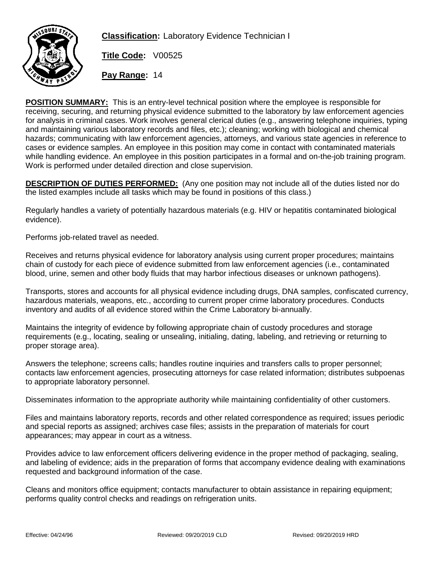

**Classification:** Laboratory Evidence Technician I

**Title Code:** V00525

**Pay Range:** 14

**POSITION SUMMARY:** This is an entry-level technical position where the employee is responsible for receiving, securing, and returning physical evidence submitted to the laboratory by law enforcement agencies for analysis in criminal cases. Work involves general clerical duties (e.g., answering telephone inquiries, typing and maintaining various laboratory records and files, etc.); cleaning; working with biological and chemical hazards; communicating with law enforcement agencies, attorneys, and various state agencies in reference to cases or evidence samples. An employee in this position may come in contact with contaminated materials while handling evidence. An employee in this position participates in a formal and on-the-job training program. Work is performed under detailed direction and close supervision.

**DESCRIPTION OF DUTIES PERFORMED:** (Any one position may not include all of the duties listed nor do the listed examples include all tasks which may be found in positions of this class.)

Regularly handles a variety of potentially hazardous materials (e.g. HIV or hepatitis contaminated biological evidence).

Performs job-related travel as needed.

Receives and returns physical evidence for laboratory analysis using current proper procedures; maintains chain of custody for each piece of evidence submitted from law enforcement agencies (i.e., contaminated blood, urine, semen and other body fluids that may harbor infectious diseases or unknown pathogens).

Transports, stores and accounts for all physical evidence including drugs, DNA samples, confiscated currency, hazardous materials, weapons, etc., according to current proper crime laboratory procedures. Conducts inventory and audits of all evidence stored within the Crime Laboratory bi-annually.

Maintains the integrity of evidence by following appropriate chain of custody procedures and storage requirements (e.g., locating, sealing or unsealing, initialing, dating, labeling, and retrieving or returning to proper storage area).

Answers the telephone; screens calls; handles routine inquiries and transfers calls to proper personnel; contacts law enforcement agencies, prosecuting attorneys for case related information; distributes subpoenas to appropriate laboratory personnel.

Disseminates information to the appropriate authority while maintaining confidentiality of other customers.

Files and maintains laboratory reports, records and other related correspondence as required; issues periodic and special reports as assigned; archives case files; assists in the preparation of materials for court appearances; may appear in court as a witness.

Provides advice to law enforcement officers delivering evidence in the proper method of packaging, sealing, and labeling of evidence; aids in the preparation of forms that accompany evidence dealing with examinations requested and background information of the case.

Cleans and monitors office equipment; contacts manufacturer to obtain assistance in repairing equipment; performs quality control checks and readings on refrigeration units.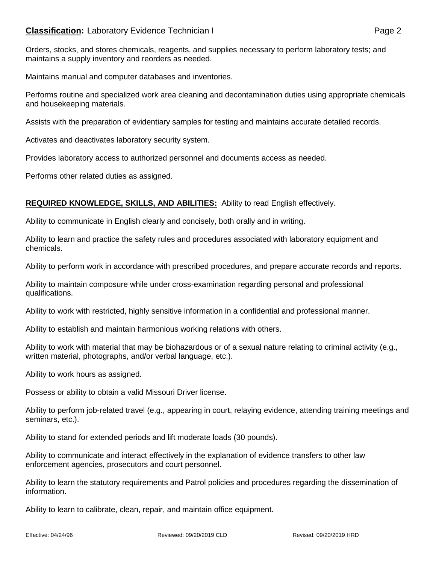## **Classification:** Laboratory Evidence Technician I **Classification:** Page 2

Orders, stocks, and stores chemicals, reagents, and supplies necessary to perform laboratory tests; and maintains a supply inventory and reorders as needed.

Maintains manual and computer databases and inventories.

Performs routine and specialized work area cleaning and decontamination duties using appropriate chemicals and housekeeping materials.

Assists with the preparation of evidentiary samples for testing and maintains accurate detailed records.

Activates and deactivates laboratory security system.

Provides laboratory access to authorized personnel and documents access as needed.

Performs other related duties as assigned.

## **REQUIRED KNOWLEDGE, SKILLS, AND ABILITIES:** Ability to read English effectively.

Ability to communicate in English clearly and concisely, both orally and in writing.

Ability to learn and practice the safety rules and procedures associated with laboratory equipment and chemicals.

Ability to perform work in accordance with prescribed procedures, and prepare accurate records and reports.

Ability to maintain composure while under cross-examination regarding personal and professional qualifications.

Ability to work with restricted, highly sensitive information in a confidential and professional manner.

Ability to establish and maintain harmonious working relations with others.

Ability to work with material that may be biohazardous or of a sexual nature relating to criminal activity (e.g., written material, photographs, and/or verbal language, etc.).

Ability to work hours as assigned.

Possess or ability to obtain a valid Missouri Driver license.

Ability to perform job-related travel (e.g., appearing in court, relaying evidence, attending training meetings and seminars, etc.).

Ability to stand for extended periods and lift moderate loads (30 pounds).

Ability to communicate and interact effectively in the explanation of evidence transfers to other law enforcement agencies, prosecutors and court personnel.

Ability to learn the statutory requirements and Patrol policies and procedures regarding the dissemination of information.

Ability to learn to calibrate, clean, repair, and maintain office equipment.